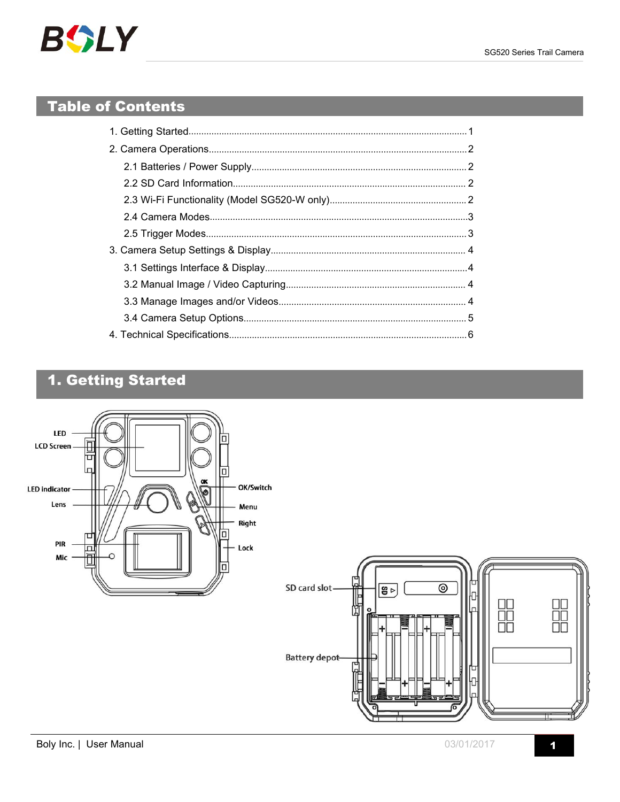# <span id="page-0-0"></span>**Table of Contents**

# 1. Getting Started

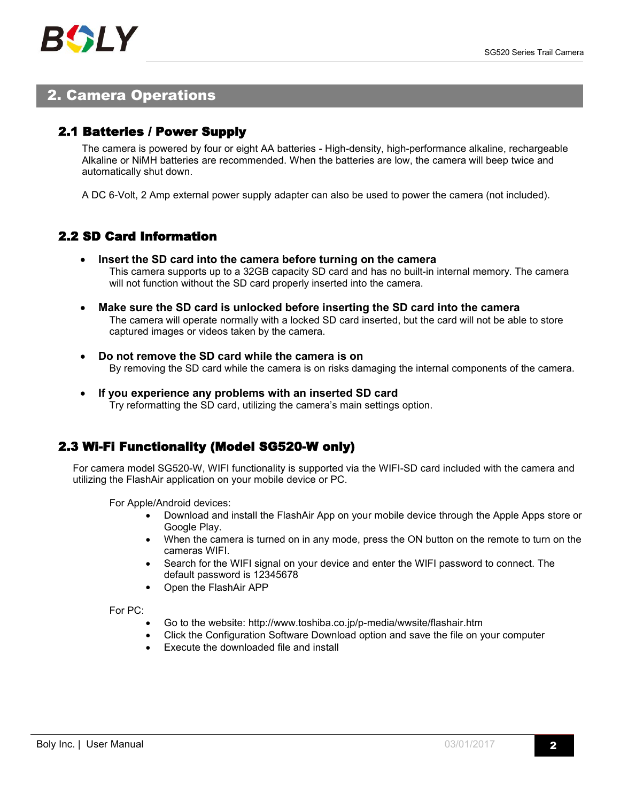## <span id="page-1-1"></span><span id="page-1-0"></span>2. Camera Operations

### 2.1 Batteries / Power Supply

The camera is powered by four oreight AA batteries - High-density, high-performance alkaline, rechargeable Alkaline or NiMH batteries are recommended. When the batteries are low, the camera will beep twice and automatically shut down.

A DC 6-Volt, 2 Amp external power supply adapter can also be used to power the camera (not included).

## 2.2 SD Card Information

- **Insert the SD card into the camera before turning on the camera** This camera supports up to a 32GB capacity SD card and has no built-in internal memory. The camera will not function without the SD card properly inserted into the camera.
- **Make sure the SD card is unlocked before inserting the SD card into the camera** The camera will operate normally with a locked SD card inserted, but the card will not be able to store captured images or videos taken by the camera.
- **Do not remove the SD card while the camera is on** By removing the SD card while the camera is on risks damaging the internal components of the camera.
- **If you experience any problems with an inserted SD card** Try reformatting the SD card, utilizing the camera's main settings option.

## 2.3 Wi-Fi Functionality (Model SG520-W only)

For camera model SG520-W, WIFI functionality is supported via the WIFI-SD card included with the camera and utilizing the FlashAir application on your mobile device or PC.

For Apple/Android devices:

- Download and install the FlashAir App on your mobile device through the Apple Apps store or Google Play.
- When the camera is turned on in any mode, press the ON button on the remote to turn on the cameras WIFI.
- Search for the WIFI signal on your device and enter the WIFI password to connect. The default password is 12345678
- Open the FlashAir APP

For PC:

- Go to the website: http://www.toshiba.co.jp/p-media/wwsite/flashair.htm
- Click the Configuration Software Download option and save the file on your computer
- Execute the downloaded file and install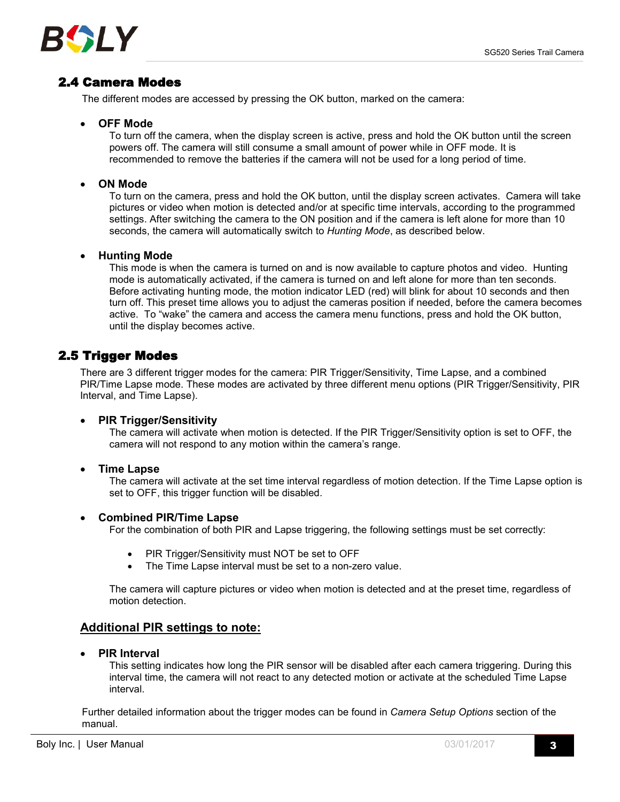

## <span id="page-2-0"></span>2.4 Camera Modes

The different modes are accessed by pressing the OK button, marked on the camera:

#### **OFF Mode**

To turn off the camera, when the display screen is active, press and hold the OK button until the screen powers off. The camera will still consume a small amount of power while in OFF mode. It is recommended to remove the batteries if the camera will not be used for a long period of time.

#### **ON Mode**

To turn on the camera, press and hold the OK button, until the display screen activates. Camera will take pictures or video when motion is detected and/or at specific time intervals, according to the programmed settings. After switching the camera to the ON position and if the camera is left alone for more than 10 seconds, the camera will automatically switch to *Hunting Mode*, as described below.

#### **Hunting Mode**

This mode is when the camera is turned on and is now available to capture photos and video. Hunting mode is automatically activated, if the camera is turned on and left alone for more than ten seconds. Before activating hunting mode, the motion indicator LED (red) will blink for about 10 seconds and then turn off. This preset time allows you to adjust the cameras position if needed, before the camera becomes active. To "wake" the camera and access the camera menu functions, press and hold the OK button, until the display becomes active.

## 2.5 Trigger Modes

There are 3 different trigger modes for the camera: PIR Trigger/Sensitivity, Time Lapse, and a combined PIR/Time Lapse mode. These modes are activated by three different menu options (PIR Trigger/Sensitivity, PIR Interval, and Time Lapse).

#### **PIR Trigger/Sensitivity**

The camera will activate when motion is detected. If the PIR Trigger/Sensitivity option is set to OFF, the camera will not respond to any motion within the camera's range.

#### **Time Lapse**

The camera will activate at the set time interval regardless of motion detection. If the Time Lapse option is set to OFF, this trigger function will be disabled.

#### **Combined PIR/Time Lapse**

For the combination of both PIR and Lapse triggering, the following settings must be set correctly:

- PIR Trigger/Sensitivity must NOT be set to OFF
- The Time Lapse interval must be set to a non-zero value.

The camera will capture pictures or video when motion is detected and at the preset time, regardless of motion detection.

#### **Additional PIR settings to note:**

**PIR Interval**

This setting indicates how long the PIR sensor will be disabled after each camera triggering. During this interval time, the camera will not react to any detected motion or activate at the scheduled Time Lapse interval.

Further detailed information about the trigger modes can be found in *Camera Setup Options* section of the manual.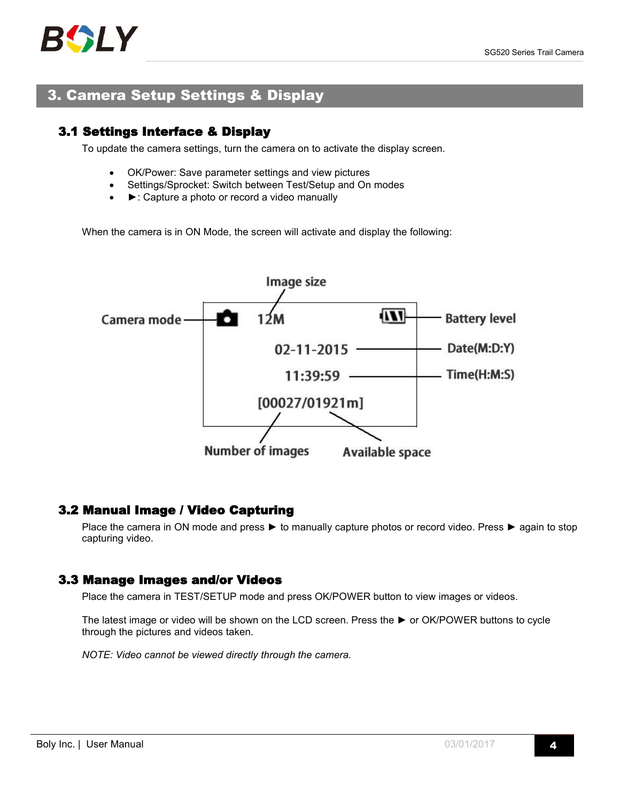

## <span id="page-3-1"></span><span id="page-3-0"></span>3. Camera Setup Settings & Display

## 3.1 Settings Interface & Display

To update the camera settings, turn the camera on to activate the display screen.

- OK/Power: Save parameter settings and view pictures
- Settings/Sprocket: Switch between Test/Setup and On modes
- ►: Capture a photo or record a video manually

When the camera is in ON Mode, the screen will activate and display the following:



### 3.2 Manual Image / Video Capturing

Place the camera in ON mode and press ► to manually capture photos or record video. Press ► again to stop capturing video.

### 3.3 Manage Images and/or Videos

Place the camera in TEST/SETUP mode and press OK/POWER button to view images or videos.

The latest image or video will be shown on the LCD screen. Press the ► or OK/POWER buttons to cycle through the pictures and videos taken.

*NOTE: Video cannot be viewed directly through the camera.*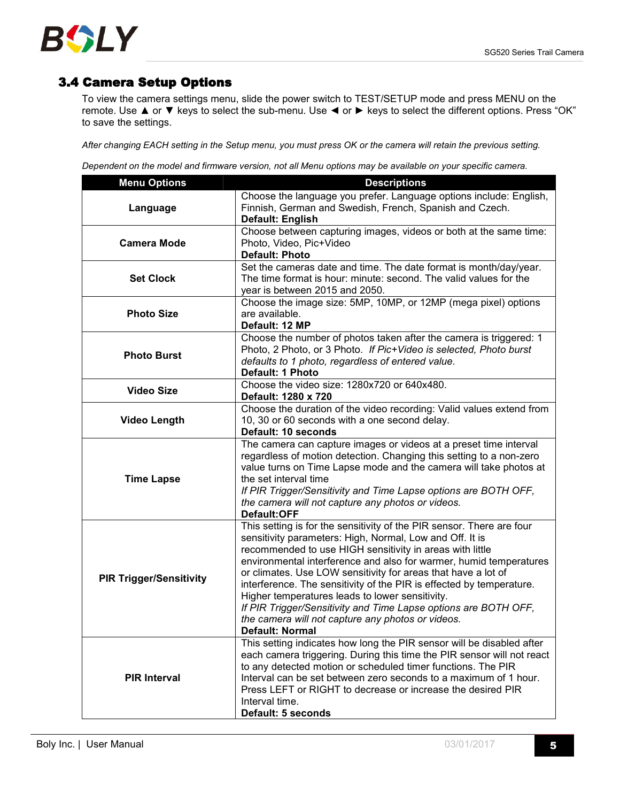

## <span id="page-4-0"></span>3.4 Camera Setup Options

To view the camera settings menu, slide the power switch to TEST/SETUP mode and press MENU on the remote. Use ▲ or ▼ keys to select the sub-menu. Use ◄ or ► keys to select the different options. Press "OK" to save the settings.

After changing EACH setting in the Setup menu, you must press OK or the camera will retain the previous setting.

Dependent on the model and firmware version, not all Menu options may be available on your specific camera.

| <b>Menu Options</b>            | <b>Descriptions</b>                                                                                                                                                                                                                                                                                                                                                                                                                                                                                                                                                                                        |  |  |  |  |  |
|--------------------------------|------------------------------------------------------------------------------------------------------------------------------------------------------------------------------------------------------------------------------------------------------------------------------------------------------------------------------------------------------------------------------------------------------------------------------------------------------------------------------------------------------------------------------------------------------------------------------------------------------------|--|--|--|--|--|
| Language                       | Choose the language you prefer. Language options include: English,<br>Finnish, German and Swedish, French, Spanish and Czech.<br>Default: English                                                                                                                                                                                                                                                                                                                                                                                                                                                          |  |  |  |  |  |
| <b>Camera Mode</b>             | Choose between capturing images, videos or both at the same time:<br>Photo, Video, Pic+Video<br><b>Default: Photo</b>                                                                                                                                                                                                                                                                                                                                                                                                                                                                                      |  |  |  |  |  |
| <b>Set Clock</b>               | Set the cameras date and time. The date format is month/day/year.<br>The time format is hour: minute: second. The valid values for the<br>year is between 2015 and 2050.                                                                                                                                                                                                                                                                                                                                                                                                                                   |  |  |  |  |  |
| <b>Photo Size</b>              | Choose the image size: 5MP, 10MP, or 12MP (mega pixel) options<br>are available.<br>Default: 12 MP                                                                                                                                                                                                                                                                                                                                                                                                                                                                                                         |  |  |  |  |  |
| <b>Photo Burst</b>             | Choose the number of photos taken after the camera is triggered: 1<br>Photo, 2 Photo, or 3 Photo. If Pic+Video is selected, Photo burst<br>defaults to 1 photo, regardless of entered value.<br>Default: 1 Photo                                                                                                                                                                                                                                                                                                                                                                                           |  |  |  |  |  |
| <b>Video Size</b>              | Choose the video size: 1280x720 or 640x480.<br>Default: 1280 x 720                                                                                                                                                                                                                                                                                                                                                                                                                                                                                                                                         |  |  |  |  |  |
| <b>Video Length</b>            | Choose the duration of the video recording: Valid values extend from<br>10, 30 or 60 seconds with a one second delay.<br>Default: 10 seconds                                                                                                                                                                                                                                                                                                                                                                                                                                                               |  |  |  |  |  |
| <b>Time Lapse</b>              | The camera can capture images or videos at a preset time interval<br>regardless of motion detection. Changing this setting to a non-zero<br>value turns on Time Lapse mode and the camera will take photos at<br>the set interval time<br>If PIR Trigger/Sensitivity and Time Lapse options are BOTH OFF,<br>the camera will not capture any photos or videos.<br>Default:OFF                                                                                                                                                                                                                              |  |  |  |  |  |
| <b>PIR Trigger/Sensitivity</b> | This setting is for the sensitivity of the PIR sensor. There are four<br>sensitivity parameters: High, Normal, Low and Off. It is<br>recommended to use HIGH sensitivity in areas with little<br>environmental interference and also for warmer, humid temperatures<br>or climates. Use LOW sensitivity for areas that have a lot of<br>interference. The sensitivity of the PIR is effected by temperature.<br>Higher temperatures leads to lower sensitivity.<br>If PIR Trigger/Sensitivity and Time Lapse options are BOTH OFF,<br>the camera will not capture any photos or videos.<br>Default: Normal |  |  |  |  |  |
| <b>PIR Interval</b>            | This setting indicates how long the PIR sensor will be disabled after<br>each camera triggering. During this time the PIR sensor will not react<br>to any detected motion or scheduled timer functions. The PIR<br>Interval can be set between zero seconds to a maximum of 1 hour.<br>Press LEFT or RIGHT to decrease or increase the desired PIR<br>Interval time.<br>Default: 5 seconds                                                                                                                                                                                                                 |  |  |  |  |  |